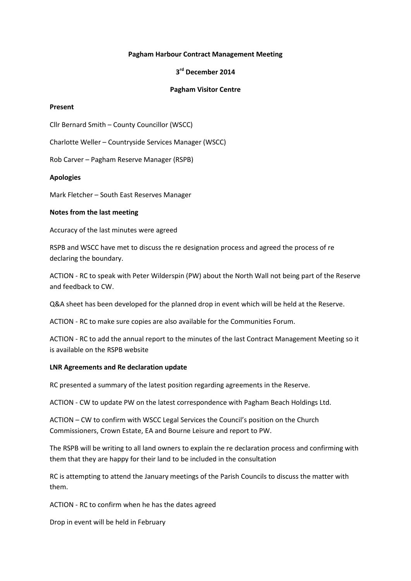## **Pagham Harbour Contract Management Meeting**

# **3 rd December 2014**

## **Pagham Visitor Centre**

#### **Present**

Cllr Bernard Smith – County Councillor (WSCC)

Charlotte Weller – Countryside Services Manager (WSCC)

Rob Carver – Pagham Reserve Manager (RSPB)

### **Apologies**

Mark Fletcher – South East Reserves Manager

### **Notes from the last meeting**

Accuracy of the last minutes were agreed

RSPB and WSCC have met to discuss the re designation process and agreed the process of re declaring the boundary.

ACTION - RC to speak with Peter Wilderspin (PW) about the North Wall not being part of the Reserve and feedback to CW.

Q&A sheet has been developed for the planned drop in event which will be held at the Reserve.

ACTION - RC to make sure copies are also available for the Communities Forum.

ACTION - RC to add the annual report to the minutes of the last Contract Management Meeting so it is available on the RSPB website

#### **LNR Agreements and Re declaration update**

RC presented a summary of the latest position regarding agreements in the Reserve.

ACTION - CW to update PW on the latest correspondence with Pagham Beach Holdings Ltd.

ACTION – CW to confirm with WSCC Legal Services the Council's position on the Church Commissioners, Crown Estate, EA and Bourne Leisure and report to PW.

The RSPB will be writing to all land owners to explain the re declaration process and confirming with them that they are happy for their land to be included in the consultation

RC is attempting to attend the January meetings of the Parish Councils to discuss the matter with them.

ACTION - RC to confirm when he has the dates agreed

Drop in event will be held in February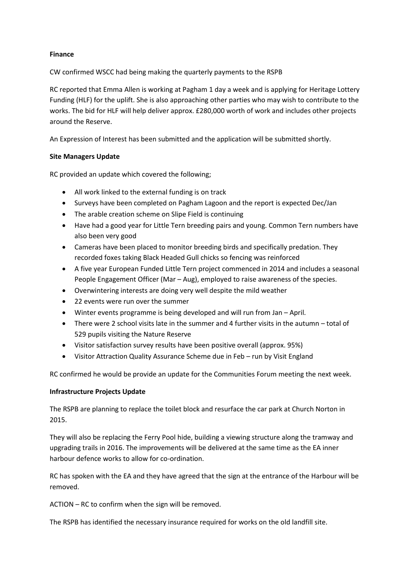# **Finance**

CW confirmed WSCC had being making the quarterly payments to the RSPB

RC reported that Emma Allen is working at Pagham 1 day a week and is applying for Heritage Lottery Funding (HLF) for the uplift. She is also approaching other parties who may wish to contribute to the works. The bid for HLF will help deliver approx. £280,000 worth of work and includes other projects around the Reserve.

An Expression of Interest has been submitted and the application will be submitted shortly.

# **Site Managers Update**

RC provided an update which covered the following;

- All work linked to the external funding is on track
- Surveys have been completed on Pagham Lagoon and the report is expected Dec/Jan
- The arable creation scheme on Slipe Field is continuing
- Have had a good year for Little Tern breeding pairs and young. Common Tern numbers have also been very good
- Cameras have been placed to monitor breeding birds and specifically predation. They recorded foxes taking Black Headed Gull chicks so fencing was reinforced
- A five year European Funded Little Tern project commenced in 2014 and includes a seasonal People Engagement Officer (Mar – Aug), employed to raise awareness of the species.
- Overwintering interests are doing very well despite the mild weather
- 22 events were run over the summer
- Winter events programme is being developed and will run from Jan April.
- $\bullet$  There were 2 school visits late in the summer and 4 further visits in the autumn total of 529 pupils visiting the Nature Reserve
- Visitor satisfaction survey results have been positive overall (approx. 95%)
- Visitor Attraction Quality Assurance Scheme due in Feb run by Visit England

RC confirmed he would be provide an update for the Communities Forum meeting the next week.

## **Infrastructure Projects Update**

The RSPB are planning to replace the toilet block and resurface the car park at Church Norton in 2015.

They will also be replacing the Ferry Pool hide, building a viewing structure along the tramway and upgrading trails in 2016. The improvements will be delivered at the same time as the EA inner harbour defence works to allow for co-ordination.

RC has spoken with the EA and they have agreed that the sign at the entrance of the Harbour will be removed.

ACTION – RC to confirm when the sign will be removed.

The RSPB has identified the necessary insurance required for works on the old landfill site.